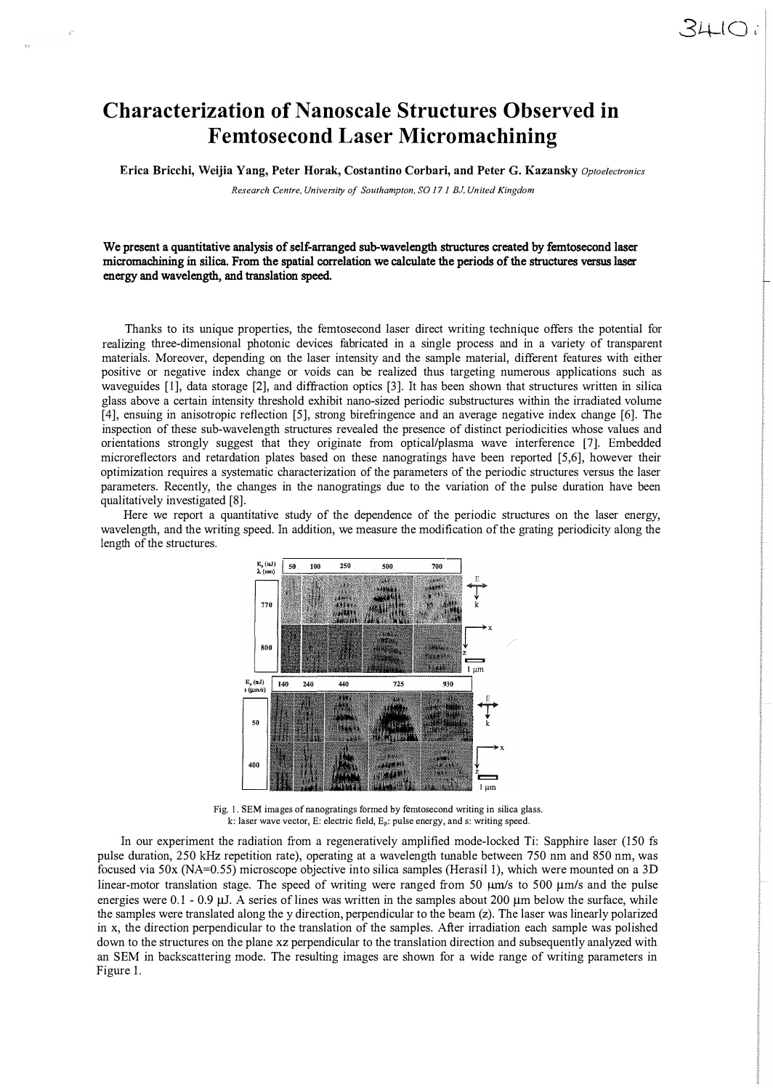## **Characterization of Nanoscale Structures Observed in Femtosecond Laser Micromachining**

**Erica Bricchi, Weijia Yang, Peter Horak, Costantino Corbari, and Peter G. Kazansky** *Optoelectronics* 

*Research Centre, University of Southampton,* SO *17 1 BJ, United Kingdom* 

We present a quantitative analysis of self-arranged sub-wavelength structures created by femtosecond laser micromachining in silica. From the spatial correlation we calculate the periods of the structures versus laser energy and wavelength, and translation speed.

Thanks to its unique properties, the femtosecond laser direct writing technique offers the potential for realizing three-dimensional photonic devices fabricated in a single process and in a variety of transparent materials. Moreover, depending on the laser intensity and the sample material, different features with either positive or negative index change or voids can be realized thus targeting numerous applications such as waveguides [I], data storage [2], and diffraction optics [3]. It has been shown that structures written in silica glass above a certain intensity threshold exhibit nano-sized periodic substructures within the irradiated volume [4], ensuing in anisotropic reflection [5], strong birefringence and an average negative index change [6]. The inspection of these sub-wavelength structures revealed the presence of distinct periodicities whose values and orientations strongly suggest that they originate from opticaliplasma wave interference [7]. Embedded microreflectors and retardation plates based on these nanogratings have been reported [5,6], however their optimization requires a systematic characterization of the parameters of the periodic structures versus the laser parameters. Recently, the changes in the nanogratings due to the variation of the pulse duration have been qualitatively investigated [8].

Here we report a quantitative study of the dependence of the periodic structures on the laser energy, wavelength, and the writing speed. In addition, we measure the modification of the grating periodicity along the length of the structures.



Fig. 1. SEM images of nanogratings formed by femtosecond writing in silica glass. k: laser wave vector, E: electric field,  $E_p$ : pulse energy, and s: writing speed.

In our experiment the radiation from a regeneratively amplified mode-locked Ti: Sapphire laser (150 fs pulse duration, 250 kHz repetition rate), operating at a wavelength tunable between 750 nm and 850 nm, was focused via 50x (NA=0.55) microscope objective into silica samples (Herasil 1), which were mounted on a 3D linear-motor translation stage. The speed of writing were ranged from 50  $\mu$ m/s to 500  $\mu$ m/s and the pulse energies were 0.1 - 0.9 µJ. A series of lines was written in the samples about 200 µm below the surface, while the samples were translated along the y direction, perpendicular to the beam (z). The laser was linearly polarized in x, the direction perpendicular to the translation of the samples. After irradiation each sample was polished down to the structures on the plane xz perpendicular to the translation direction and subsequently analyzed with an SEM in backscattering mode. The resulting images are shown for a wide range of writing parameters in Figure 1.